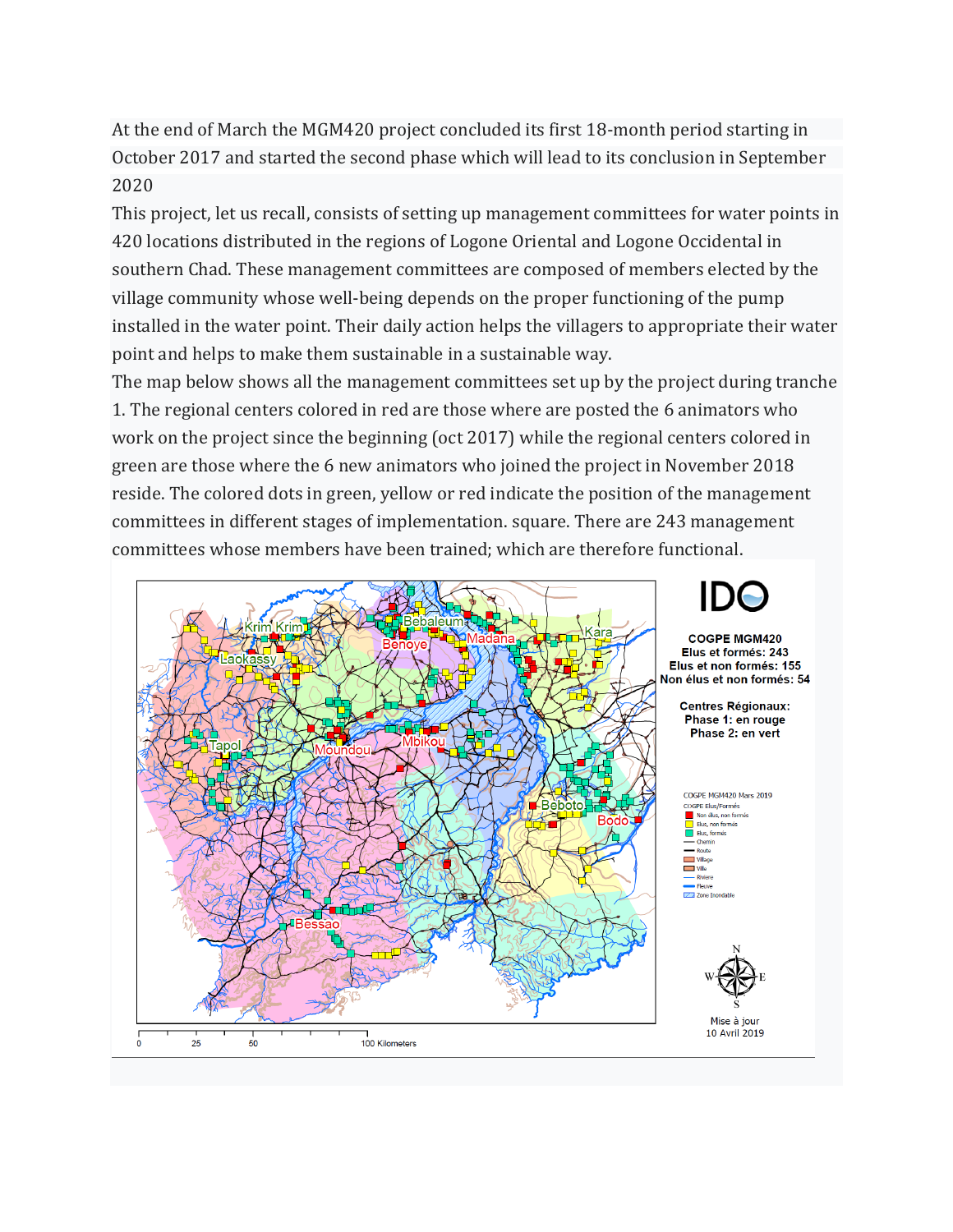At the end of March the MGM420 project concluded its first 18-month period starting in October 2017 and started the second phase which will lead to its conclusion in September 2020

This project, let us recall, consists of setting up management committees for water points in 420 locations distributed in the regions of Logone Oriental and Logone Occidental in southern Chad. These management committees are composed of members elected by the village community whose well-being depends on the proper functioning of the pump installed in the water point. Their daily action helps the villagers to appropriate their water point and helps to make them sustainable in a sustainable way.

The map below shows all the management committees set up by the project during tranche 1. The regional centers colored in red are those where are posted the 6 animators who work on the project since the beginning (oct 2017) while the regional centers colored in green are those where the 6 new animators who joined the project in November 2018 reside. The colored dots in green, yellow or red indicate the position of the management committees in different stages of implementation. square. There are 243 management committees whose members have been trained; which are therefore functional.